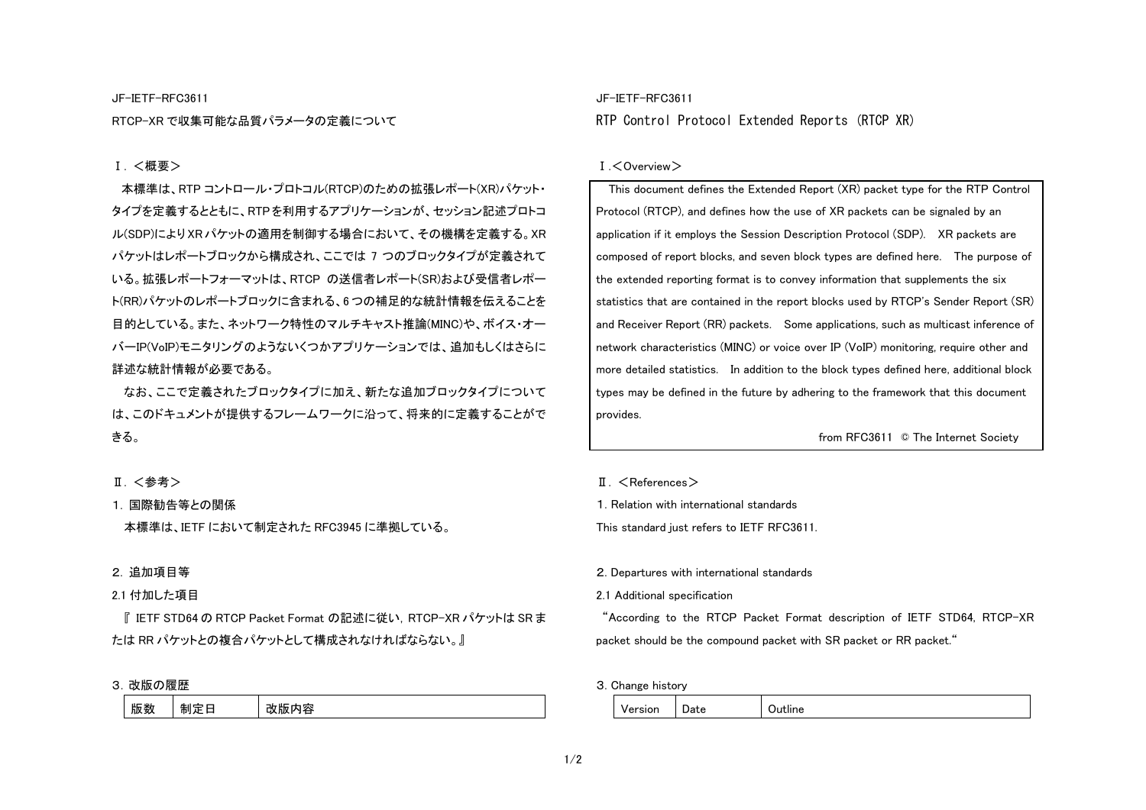### JF-IETF-RFC3611

RTCP-XR で収集可能な品質パラメータの定義について

# Ⅰ. <概要>

本標準は、RTP コントロール・プロトコル(RTCP)のための拡張レポート(XR)パケット・ タイプを定義するとともに、RTPを利用するアプリケーションが、セッション記述プロトコ ル(SDP)により XR パケットの適用を制御する場合において、その機構を定義する。XR パケットはレポートブロックから構成され、ここでは <sup>7</sup> つのブロックタイプが定義されて いる。拡張レポートフォーマットは、RTCP の送信者レポート(SR)および受信者レポー ト(RR)パケットのレポートブロックに含まれる、6 つの補足的な統計情報を伝えることを 目的としている。また、ネットワーク特性のマルチキャスト推論(MINC)や、ボイス・オーバーIP(VoIP)モニタリングのようないくつかアプリケーションでは、追加もしくはさらに詳述な統計情報が必要である。

なお、ここで定義されたブロックタイプに加え、新たな追加ブロックタイプについては、このドキュメントが提供するフレームワークに沿って、将来的に定義することができる。

### Ⅱ. <参考>

# 1. 国際勧告等との関係

本標準は、IETF において制定された RFC3945 に準拠している。

# 2. 追加項目等

### 2.1 付加した項目

『 IETF STD64 の RTCP Packet Format の記述に従い,RTCP-XR パケットは SR ま たは RR パケットとの複合パケットとして構成されなければならない。』

### 3. 改版の履歴

| יש<br>ᄔ<br>mu<br>÷<br>- | 山口 半机<br>版致 |  | 지조<br>版 |
|-------------------------|-------------|--|---------|
|-------------------------|-------------|--|---------|

# JF-IETF-RFC3611 RTP Control Protocol Extended Reports (RTCP XR)

### Ⅰ.<Overview>

 This document defines the Extended Report (XR) packet type for the RTP Control Protocol (RTCP), and defines how the use of XR packets can be signaled by an application if it employs the Session Description Protocol (SDP). XR packets are composed of report blocks, and seven block types are defined here. The purpose of the extended reporting format is to convey information that supplements the six statistics that are contained in the report blocks used by RTCP's Sender Report (SR) and Receiver Report (RR) packets. Some applications, such as multicast inference of network characteristics (MINC) or voice over IP (VoIP) monitoring, require other and more detailed statistics. In addition to the block types defined here, additional block types may be defined in the future by adhering to the framework that this document provides.

from RFC3611 © The Internet Society

- $II \leq$ References $>$
- 1. Relation with international standards

This standard just refers to IETF RFC3611.

2. Departures with international standards

2.1 Additional specification

 "According to the RTCP Packet Format description of IETF STD64, RTCP-XR packet should be the compound packet with SR packet or RR packet."

3. Change history

| ersion<br>-<br>$\ddotsc$ | - -<br>υаτе | .<br>ıne |
|--------------------------|-------------|----------|
|--------------------------|-------------|----------|